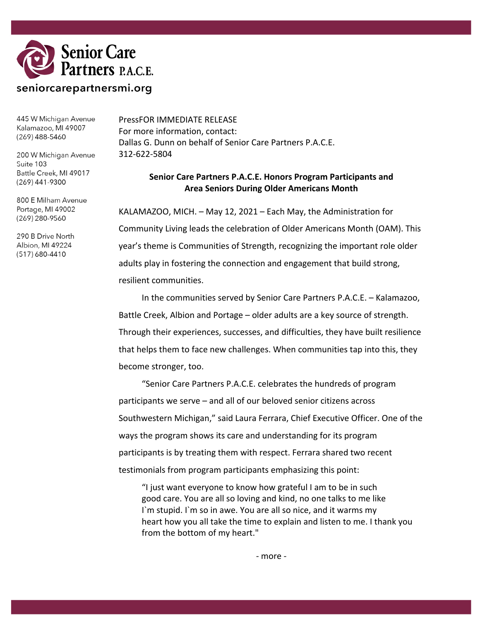

445 W Michigan Avenue Kalamazoo, MI 49007  $(269)$  488-5460

200 W Michigan Avenue Suite 103 Battle Creek, MI 49017  $(269)$  441-9300

800 E Milham Avenue Portage, MI 49002 (269) 280-9560

290 B Drive North Albion, MI 49224 (517) 680-4410

PressFOR IMMEDIATE RELEASE For more information, contact: Dallas G. Dunn on behalf of Senior Care Partners P.A.C.E. 312-622-5804

## **Senior Care Partners P.A.C.E. Honors Program Participants and Area Seniors During Older Americans Month**

KALAMAZOO, MICH. – May 12, 2021 – Each May, the Administration for Community Living leads the celebration of Older Americans Month (OAM). This year's theme is Communities of Strength, recognizing the important role older adults play in fostering the connection and engagement that build strong, resilient communities.

In the communities served by Senior Care Partners P.A.C.E. – Kalamazoo, Battle Creek, Albion and Portage – older adults are a key source of strength. Through their experiences, successes, and difficulties, they have built resilience that helps them to face new challenges. When communities tap into this, they become stronger, too.

"Senior Care Partners P.A.C.E. celebrates the hundreds of program participants we serve – and all of our beloved senior citizens across Southwestern Michigan," said Laura Ferrara, Chief Executive Officer. One of the ways the program shows its care and understanding for its program participants is by treating them with respect. Ferrara shared two recent testimonials from program participants emphasizing this point:

"I just want everyone to know how grateful I am to be in such good care. You are all so loving and kind, no one talks to me like I`m stupid. I`m so in awe. You are all so nice, and it warms my heart how you all take the time to explain and listen to me. I thank you from the bottom of my heart."

- more -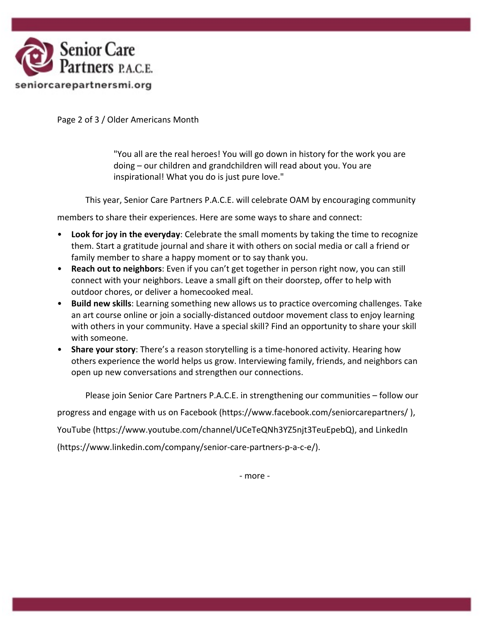

Page 2 of 3 / Older Americans Month

"You all are the real heroes! You will go down in history for the work you are doing – our children and grandchildren will read about you. You are inspirational! What you do is just pure love."

This year, Senior Care Partners P.A.C.E. will celebrate OAM by encouraging community

members to share their experiences. Here are some ways to share and connect:

- **Look for joy in the everyday**: Celebrate the small moments by taking the time to recognize them. Start a gratitude journal and share it with others on social media or call a friend or family member to share a happy moment or to say thank you.
- **Reach out to neighbors**: Even if you can't get together in person right now, you can still connect with your neighbors. Leave a small gift on their doorstep, offer to help with outdoor chores, or deliver a homecooked meal.
- **Build new skills**: Learning something new allows us to practice overcoming challenges. Take an art course online or join a socially-distanced outdoor movement class to enjoy learning with others in your community. Have a special skill? Find an opportunity to share your skill with someone.
- **Share your story**: There's a reason storytelling is a time-honored activity. Hearing how others experience the world helps us grow. Interviewing family, friends, and neighbors can open up new conversations and strengthen our connections.

Please join Senior Care Partners P.A.C.E. in strengthening our communities – follow our

progress and engage with us on Facebook (https://www.facebook.com/seniorcarepartners/ ),

YouTube (https://www.youtube.com/channel/UCeTeQNh3YZ5njt3TeuEpebQ), and LinkedIn

(https://www.linkedin.com/company/senior-care-partners-p-a-c-e/).

- more -